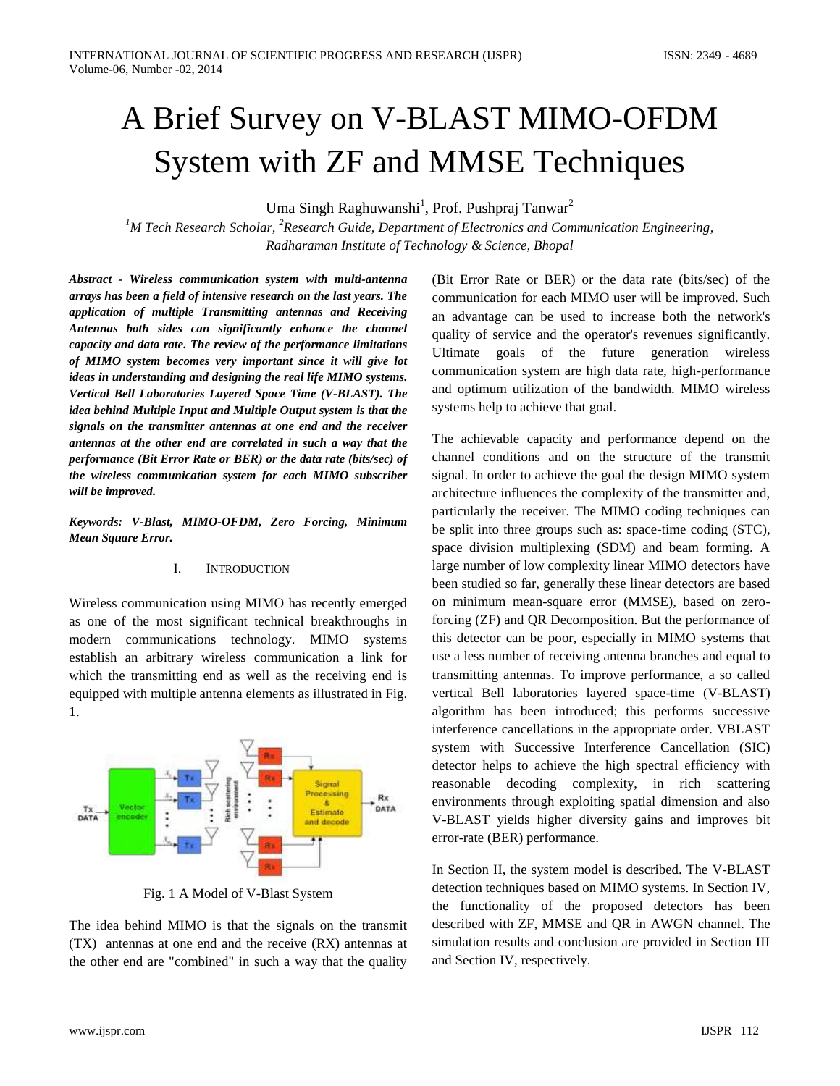# A Brief Survey on V-BLAST MIMO-OFDM System with ZF and MMSE Techniques

Uma Singh Raghuwanshi<sup>1</sup>, Prof. Pushpraj Tanwar<sup>2</sup>

*<sup>1</sup>M Tech Research Scholar, <sup>2</sup>Research Guide, Department of Electronics and Communication Engineering, Radharaman Institute of Technology & Science, Bhopal*

*Abstract - Wireless communication system with multi-antenna arrays has been a field of intensive research on the last years. The application of multiple Transmitting antennas and Receiving Antennas both sides can significantly enhance the channel capacity and data rate. The review of the performance limitations of MIMO system becomes very important since it will give lot ideas in understanding and designing the real life MIMO systems. Vertical Bell Laboratories Layered Space Time (V-BLAST). The idea behind Multiple Input and Multiple Output system is that the signals on the transmitter antennas at one end and the receiver antennas at the other end are correlated in such a way that the performance (Bit Error Rate or BER) or the data rate (bits/sec) of the wireless communication system for each MIMO subscriber will be improved.* 

*Keywords: V-Blast, MIMO-OFDM, Zero Forcing, Minimum Mean Square Error.*

### I. INTRODUCTION

Wireless communication using MIMO has recently emerged as one of the most significant technical breakthroughs in modern communications technology. MIMO systems establish an arbitrary wireless communication a link for which the transmitting end as well as the receiving end is equipped with multiple antenna elements as illustrated in Fig. 1.



Fig. 1 A Model of V-Blast System

The idea behind MIMO is that the signals on the transmit (TX) antennas at one end and the receive (RX) antennas at the other end are "combined" in such a way that the quality (Bit Error Rate or BER) or the data rate (bits/sec) of the communication for each MIMO user will be improved. Such an advantage can be used to increase both the network's quality of service and the operator's revenues significantly. Ultimate goals of the future generation wireless communication system are high data rate, high-performance and optimum utilization of the bandwidth. MIMO wireless systems help to achieve that goal.

The achievable capacity and performance depend on the channel conditions and on the structure of the transmit signal. In order to achieve the goal the design MIMO system architecture influences the complexity of the transmitter and, particularly the receiver. The MIMO coding techniques can be split into three groups such as: space-time coding (STC), space division multiplexing (SDM) and beam forming. A large number of low complexity linear MIMO detectors have been studied so far, generally these linear detectors are based on minimum mean-square error (MMSE), based on zeroforcing (ZF) and QR Decomposition. But the performance of this detector can be poor, especially in MIMO systems that use a less number of receiving antenna branches and equal to transmitting antennas. To improve performance, a so called vertical Bell laboratories layered space-time (V-BLAST) algorithm has been introduced; this performs successive interference cancellations in the appropriate order. VBLAST system with Successive Interference Cancellation (SIC) detector helps to achieve the high spectral efficiency with reasonable decoding complexity, in rich scattering environments through exploiting spatial dimension and also V-BLAST yields higher diversity gains and improves bit error-rate (BER) performance.

In Section II, the system model is described. The V-BLAST detection techniques based on MIMO systems. In Section IV, the functionality of the proposed detectors has been described with ZF, MMSE and QR in AWGN channel. The simulation results and conclusion are provided in Section III and Section IV, respectively.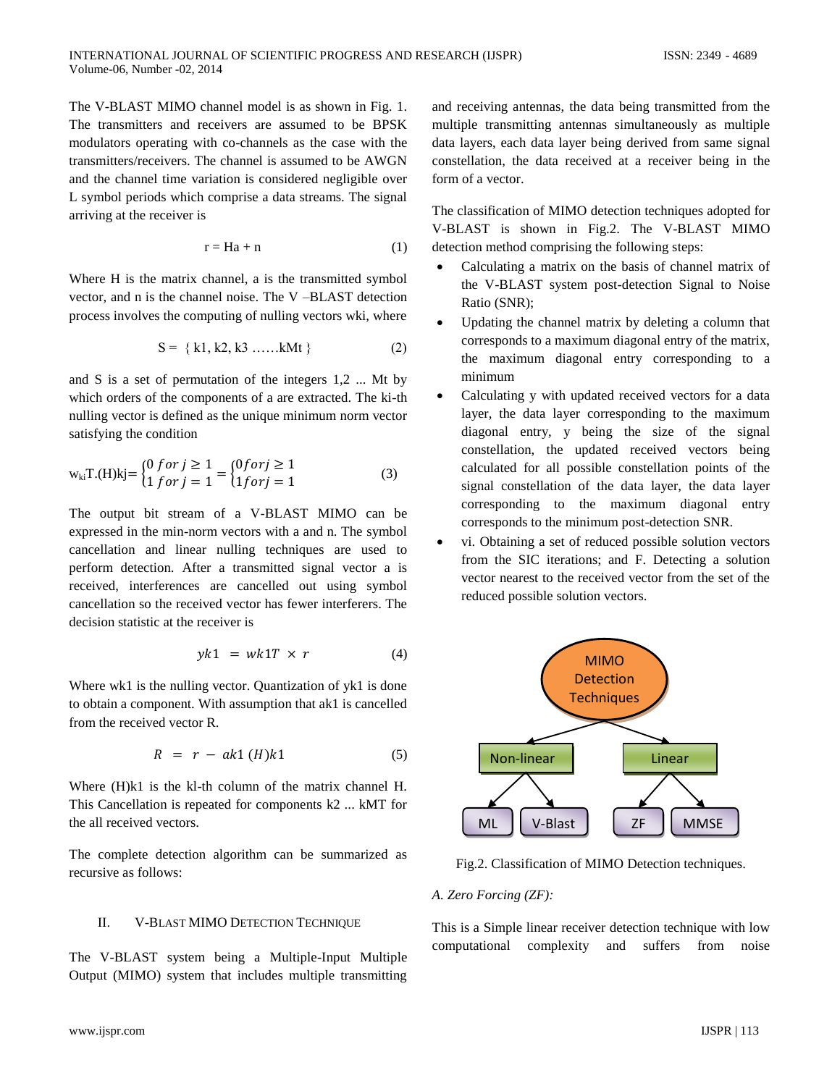The V-BLAST MIMO channel model is as shown in Fig. 1. The transmitters and receivers are assumed to be BPSK modulators operating with co-channels as the case with the transmitters/receivers. The channel is assumed to be AWGN and the channel time variation is considered negligible over L symbol periods which comprise a data streams. The signal arriving at the receiver is

$$
r = Ha + n \tag{1}
$$

Where H is the matrix channel, a is the transmitted symbol vector, and n is the channel noise. The V –BLAST detection process involves the computing of nulling vectors wki, where

$$
S = \{ k1, k2, k3 \dots, kMt \}
$$
 (2)

and S is a set of permutation of the integers 1,2 ... Mt by which orders of the components of a are extracted. The ki-th nulling vector is defined as the unique minimum norm vector satisfying the condition

$$
w_{ki}T.(H)kj = \begin{cases} 0 \text{ for } j \ge 1 \\ 1 \text{ for } j = 1 \end{cases} = \begin{cases} 0 \text{ for } j \ge 1 \\ 1 \text{ for } j = 1 \end{cases}
$$
 (3)

The output bit stream of a V-BLAST MIMO can be expressed in the min-norm vectors with a and n. The symbol cancellation and linear nulling techniques are used to perform detection. After a transmitted signal vector a is received, interferences are cancelled out using symbol cancellation so the received vector has fewer interferers. The decision statistic at the receiver is

$$
yk1 = wk1T \times r \tag{4}
$$

Where wk1 is the nulling vector. Quantization of yk1 is done to obtain a component. With assumption that ak1 is cancelled from the received vector R.

$$
R = r - ak1(H)k1 \tag{5}
$$

Where (H)k1 is the kl-th column of the matrix channel H. This Cancellation is repeated for components k2 ... kMT for the all received vectors.

The complete detection algorithm can be summarized as recursive as follows:

## II. V-BLAST MIMO DETECTION TECHNIQUE

The V-BLAST system being a Multiple-Input Multiple Output (MIMO) system that includes multiple transmitting and receiving antennas, the data being transmitted from the multiple transmitting antennas simultaneously as multiple data layers, each data layer being derived from same signal constellation, the data received at a receiver being in the form of a vector.

The classification of MIMO detection techniques adopted for V-BLAST is shown in Fig.2. The V-BLAST MIMO detection method comprising the following steps:

- Calculating a matrix on the basis of channel matrix of the V-BLAST system post-detection Signal to Noise Ratio (SNR);
- Updating the channel matrix by deleting a column that corresponds to a maximum diagonal entry of the matrix, the maximum diagonal entry corresponding to a minimum
- Calculating y with updated received vectors for a data layer, the data layer corresponding to the maximum diagonal entry, y being the size of the signal constellation, the updated received vectors being calculated for all possible constellation points of the signal constellation of the data layer, the data layer corresponding to the maximum diagonal entry corresponds to the minimum post-detection SNR.
- vi. Obtaining a set of reduced possible solution vectors from the SIC iterations; and F. Detecting a solution vector nearest to the received vector from the set of the reduced possible solution vectors.



Fig.2. Classification of MIMO Detection techniques.

# *A. Zero Forcing (ZF):*

This is a Simple linear receiver detection technique with low computational complexity and suffers from noise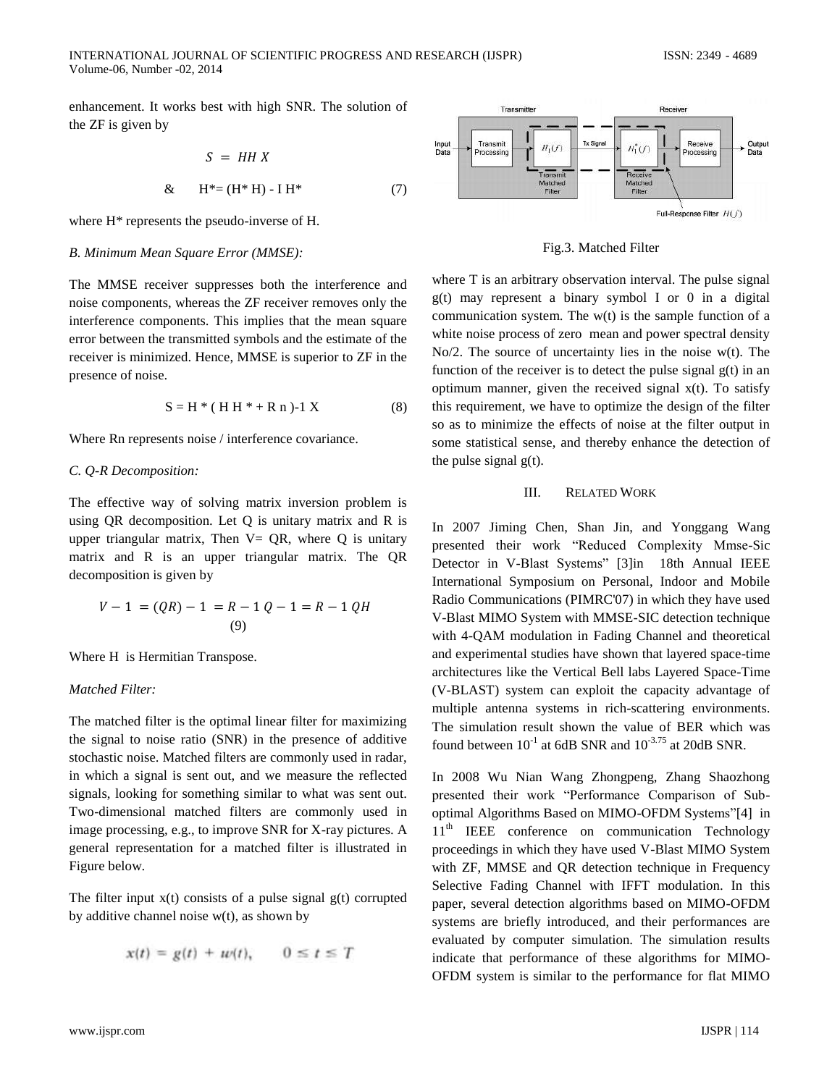enhancement. It works best with high SNR. The solution of the ZF is given by

$$
S = HH X
$$
  
& H<sup>\*</sup> = (H<sup>\*</sup>H) - IH<sup>\*</sup> (7)

where H\* represents the pseudo-inverse of H.

#### *B. Minimum Mean Square Error (MMSE):*

The MMSE receiver suppresses both the interference and noise components, whereas the ZF receiver removes only the interference components. This implies that the mean square error between the transmitted symbols and the estimate of the receiver is minimized. Hence, MMSE is superior to ZF in the presence of noise.

$$
S = H^* (HH^* + R n) - 1 X
$$
 (8)

Where Rn represents noise / interference covariance.

#### *C. Q-R Decomposition:*

The effective way of solving matrix inversion problem is using QR decomposition. Let Q is unitary matrix and R is upper triangular matrix, Then  $V = OR$ , where Q is unitary matrix and R is an upper triangular matrix. The QR decomposition is given by

$$
V - 1 = (QR) - 1 = R - 1Q - 1 = R - 1QH
$$
  
(9)

Where H is Hermitian Transpose.

### *Matched Filter:*

The matched filter is the optimal linear filter for maximizing the signal to noise ratio (SNR) in the presence of additive stochastic noise. Matched filters are commonly used in radar, in which a signal is sent out, and we measure the reflected signals, looking for something similar to what was sent out. Two-dimensional matched filters are commonly used in image processing, e.g., to improve SNR for X-ray pictures. A general representation for a matched filter is illustrated in Figure below.

The filter input  $x(t)$  consists of a pulse signal  $g(t)$  corrupted by additive channel noise  $w(t)$ , as shown by

$$
x(t) = g(t) + u(t), \qquad 0 \le t \le T
$$



Fig.3. Matched Filter

where T is an arbitrary observation interval. The pulse signal  $g(t)$  may represent a binary symbol I or 0 in a digital communication system. The w(t) is the sample function of a white noise process of zero mean and power spectral density No/2. The source of uncertainty lies in the noise w(t). The function of the receiver is to detect the pulse signal  $g(t)$  in an optimum manner, given the received signal x(t). To satisfy this requirement, we have to optimize the design of the filter so as to minimize the effects of noise at the filter output in some statistical sense, and thereby enhance the detection of the pulse signal  $g(t)$ .

#### III. RELATED WORK

In 2007 Jiming Chen, Shan Jin, and Yonggang Wang presented their work "Reduced Complexity Mmse-Sic Detector in V-Blast Systems" [\[3\]i](#page-4-0)n 18th Annual IEEE International Symposium on Personal, Indoor and Mobile Radio Communications (PIMRC'07) in which they have used V-Blast MIMO System with MMSE-SIC detection technique with 4-QAM modulation in Fading Channel and theoretical and experimental studies have shown that layered space-time architectures like the Vertical Bell labs Layered Space-Time (V-BLAST) system can exploit the capacity advantage of multiple antenna systems in rich-scattering environments. The simulation result shown the value of BER which was found between  $10^{-1}$  at 6dB SNR and  $10^{-3.75}$  at 20dB SNR.

In 2008 Wu Nian Wang Zhongpeng, Zhang Shaozhong presented their work "Performance Comparison of Suboptimal Algorithms Based on MIMO-OFDM Systems["\[4\]](#page-4-1) in 11<sup>th</sup> IEEE conference on communication Technology proceedings in which they have used V-Blast MIMO System with ZF, MMSE and QR detection technique in Frequency Selective Fading Channel with IFFT modulation. In this paper, several detection algorithms based on MIMO-OFDM systems are briefly introduced, and their performances are evaluated by computer simulation. The simulation results indicate that performance of these algorithms for MIMO-OFDM system is similar to the performance for flat MIMO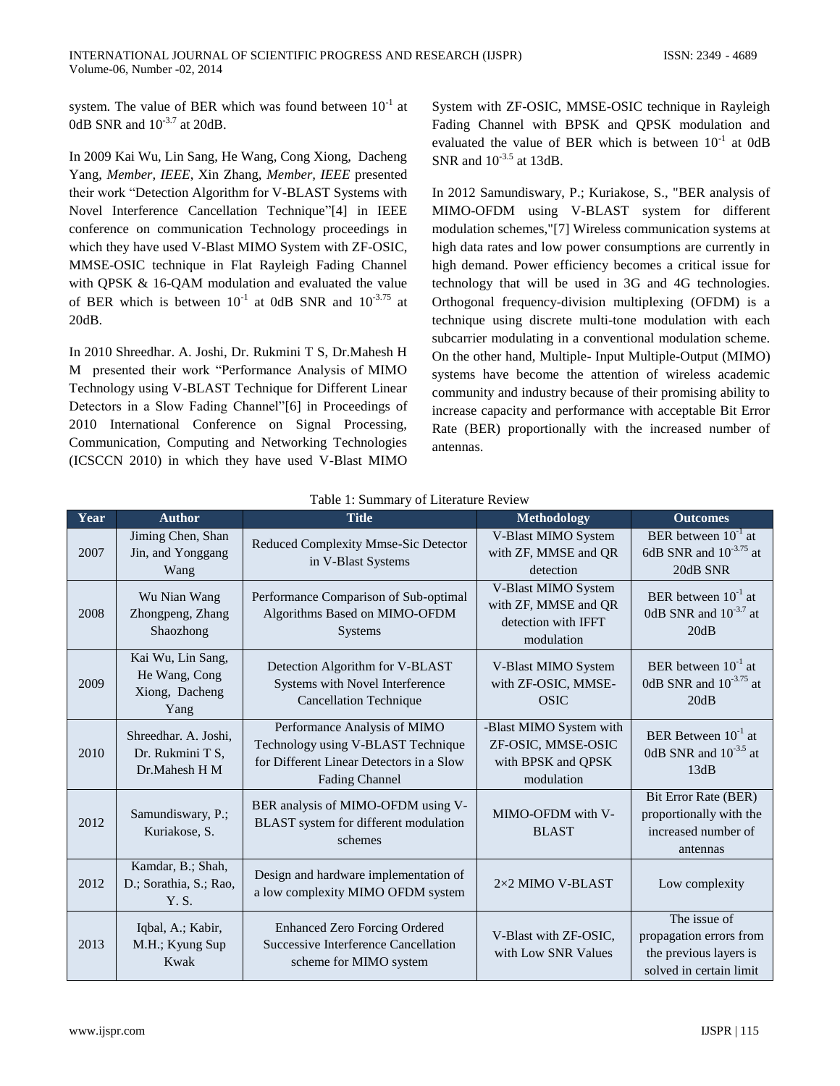system. The value of BER which was found between  $10^{-1}$  at 0dB SNR and  $10^{-3.7}$  at 20dB.

In 2009 Kai Wu, Lin Sang, He Wang, Cong Xiong, Dacheng Yang, *Member, IEEE*, Xin Zhang, *Member, IEEE* presented their work "Detection Algorithm for V-BLAST Systems with Novel Interference Cancellation Technique["\[4\]](#page-4-1) in IEEE conference on communication Technology proceedings in which they have used V-Blast MIMO System with ZF-OSIC, MMSE-OSIC technique in Flat Rayleigh Fading Channel with QPSK & 16-QAM modulation and evaluated the value of BER which is between  $10^{-1}$  at 0dB SNR and  $10^{-3.75}$  at 20dB.

In 2010 Shreedhar. A. Joshi, Dr. Rukmini T S, Dr.Mahesh H M presented their work "Performance Analysis of MIMO Technology using V-BLAST Technique for Different Linear Detectors in a Slow Fading Channel["\[6\]](#page-4-2) in Proceedings of 2010 International Conference on Signal Processing, Communication, Computing and Networking Technologies (ICSCCN 2010) in which they have used V-Blast MIMO

System with ZF-OSIC, MMSE-OSIC technique in Rayleigh Fading Channel with BPSK and QPSK modulation and evaluated the value of BER which is between  $10^{-1}$  at 0dB SNR and  $10^{-3.5}$  at 13dB.

In 2012 Samundiswary, P.; Kuriakose, S., "BER analysis of MIMO-OFDM using V-BLAST system for different modulation schemes,["\[7\]](#page-4-3) Wireless communication systems at high data rates and low power consumptions are currently in high demand. Power efficiency becomes a critical issue for technology that will be used in 3G and 4G technologies. Orthogonal frequency-division multiplexing (OFDM) is a technique using discrete multi-tone modulation with each subcarrier modulating in a conventional modulation scheme. On the other hand, Multiple- Input Multiple-Output (MIMO) systems have become the attention of wireless academic community and industry because of their promising ability to increase capacity and performance with acceptable Bit Error Rate (BER) proportionally with the increased number of antennas.

| Year | <b>Author</b>                                                | <b>Title</b>                                                                                                                            | <b>Methodology</b>                                                                | <b>Outcomes</b>                                                                              |
|------|--------------------------------------------------------------|-----------------------------------------------------------------------------------------------------------------------------------------|-----------------------------------------------------------------------------------|----------------------------------------------------------------------------------------------|
| 2007 | Jiming Chen, Shan<br>Jin, and Yonggang<br>Wang               | Reduced Complexity Mmse-Sic Detector<br>in V-Blast Systems                                                                              | V-Blast MIMO System<br>with ZF, MMSE and QR<br>detection                          | BER between $10^{-1}$ at<br>6dB SNR and $10^{-3.75}$ at<br>20dB SNR                          |
| 2008 | Wu Nian Wang<br>Zhongpeng, Zhang<br>Shaozhong                | Performance Comparison of Sub-optimal<br>Algorithms Based on MIMO-OFDM<br><b>Systems</b>                                                | V-Blast MIMO System<br>with ZF, MMSE and QR<br>detection with IFFT<br>modulation  | BER between $10^{-1}$ at<br>0dB SNR and $10^{-3.7}$ at<br>20dB                               |
| 2009 | Kai Wu, Lin Sang,<br>He Wang, Cong<br>Xiong, Dacheng<br>Yang | Detection Algorithm for V-BLAST<br>Systems with Novel Interference<br><b>Cancellation Technique</b>                                     | V-Blast MIMO System<br>with ZF-OSIC, MMSE-<br><b>OSIC</b>                         | BER between $10^{-1}$ at<br>0dB SNR and $10^{-3.75}$ at<br>20dB                              |
| 2010 | Shreedhar, A. Joshi.<br>Dr. Rukmini T S,<br>Dr.Mahesh H M    | Performance Analysis of MIMO<br>Technology using V-BLAST Technique<br>for Different Linear Detectors in a Slow<br><b>Fading Channel</b> | -Blast MIMO System with<br>ZF-OSIC, MMSE-OSIC<br>with BPSK and QPSK<br>modulation | BER Between $10^{-1}$ at<br>0dB SNR and $10^{-3.5}$ at<br>13dB                               |
| 2012 | Samundiswary, P.;<br>Kuriakose, S.                           | BER analysis of MIMO-OFDM using V-<br>BLAST system for different modulation<br>schemes                                                  | MIMO-OFDM with V-<br><b>BLAST</b>                                                 | Bit Error Rate (BER)<br>proportionally with the<br>increased number of<br>antennas           |
| 2012 | Kamdar, B.; Shah,<br>D.; Sorathia, S.; Rao,<br>Y.S.          | Design and hardware implementation of<br>a low complexity MIMO OFDM system                                                              | 2×2 MIMO V-BLAST                                                                  | Low complexity                                                                               |
| 2013 | Iqbal, A.; Kabir,<br>M.H.; Kyung Sup<br>Kwak                 | <b>Enhanced Zero Forcing Ordered</b><br><b>Successive Interference Cancellation</b><br>scheme for MIMO system                           | V-Blast with ZF-OSIC,<br>with Low SNR Values                                      | The issue of<br>propagation errors from<br>the previous layers is<br>solved in certain limit |

Table 1: Summary of Literature Review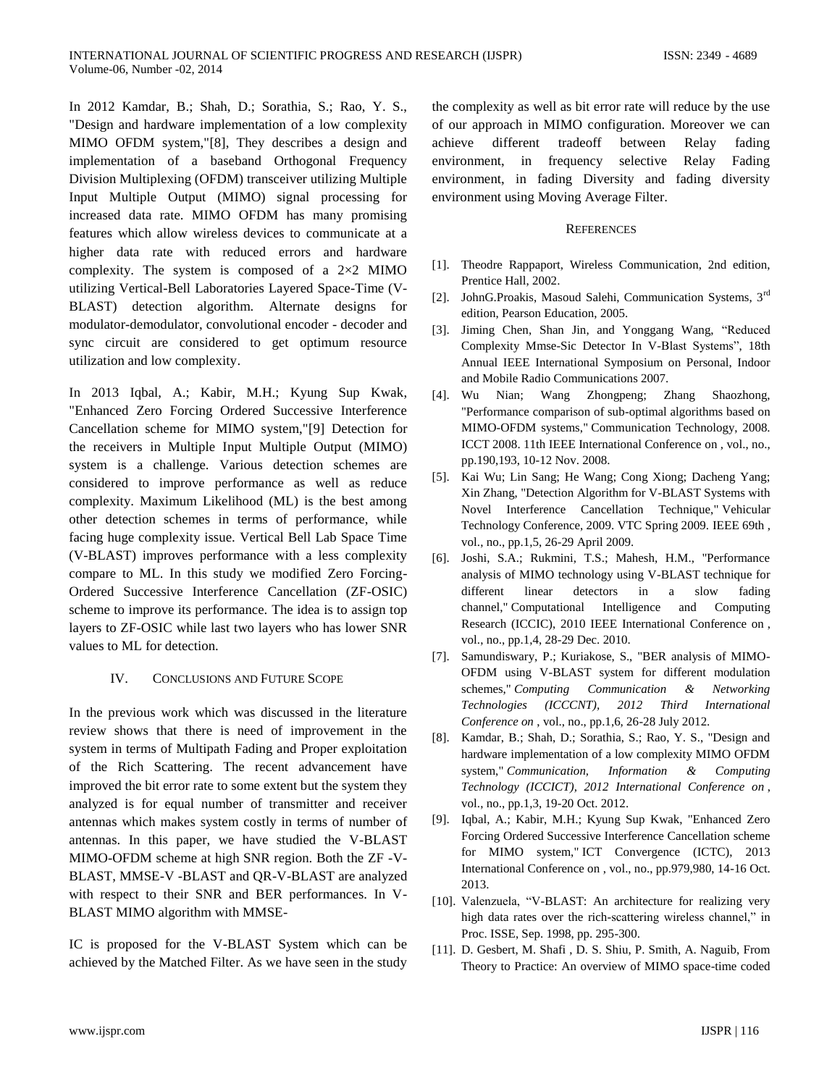In 2012 Kamdar, B.; Shah, D.; Sorathia, S.; Rao, Y. S., "Design and hardware implementation of a low complexity MIMO OFDM system,["\[8\],](#page-4-4) They describes a design and implementation of a baseband Orthogonal Frequency Division Multiplexing (OFDM) transceiver utilizing Multiple Input Multiple Output (MIMO) signal processing for increased data rate. MIMO OFDM has many promising features which allow wireless devices to communicate at a higher data rate with reduced errors and hardware complexity. The system is composed of a 2×2 MIMO utilizing Vertical-Bell Laboratories Layered Space-Time (V-BLAST) detection algorithm. Alternate designs for modulator-demodulator, convolutional encoder - decoder and sync circuit are considered to get optimum resource utilization and low complexity.

In 2013 Iqbal, A.; Kabir, M.H.; Kyung Sup Kwak, "Enhanced Zero Forcing Ordered Successive Interference Cancellation scheme for MIMO system,["\[9\]](#page-4-5) Detection for the receivers in Multiple Input Multiple Output (MIMO) system is a challenge. Various detection schemes are considered to improve performance as well as reduce complexity. Maximum Likelihood (ML) is the best among other detection schemes in terms of performance, while facing huge complexity issue. Vertical Bell Lab Space Time (V-BLAST) improves performance with a less complexity compare to ML. In this study we modified Zero Forcing-Ordered Successive Interference Cancellation (ZF-OSIC) scheme to improve its performance. The idea is to assign top layers to ZF-OSIC while last two layers who has lower SNR values to ML for detection.

# IV. CONCLUSIONS AND FUTURE SCOPE

In the previous work which was discussed in the literature review shows that there is need of improvement in the system in terms of Multipath Fading and Proper exploitation of the Rich Scattering. The recent advancement have improved the bit error rate to some extent but the system they analyzed is for equal number of transmitter and receiver antennas which makes system costly in terms of number of antennas. In this paper, we have studied the V-BLAST MIMO-OFDM scheme at high SNR region. Both the ZF -V-BLAST, MMSE-V -BLAST and QR-V-BLAST are analyzed with respect to their SNR and BER performances. In V-BLAST MIMO algorithm with MMSE-

IC is proposed for the V-BLAST System which can be achieved by the Matched Filter. As we have seen in the study the complexity as well as bit error rate will reduce by the use of our approach in MIMO configuration. Moreover we can achieve different tradeoff between Relay fading environment, in frequency selective Relay Fading environment, in fading Diversity and fading diversity environment using Moving Average Filter.

## **REFERENCES**

- [1]. Theodre Rappaport, Wireless Communication, 2nd edition, Prentice Hall, 2002.
- [2]. JohnG.Proakis, Masoud Salehi, Communication Systems, 3<sup>rd</sup> edition, Pearson Education, 2005.
- <span id="page-4-0"></span>[3]. Jiming Chen, Shan Jin, and Yonggang Wang, "Reduced Complexity Mmse-Sic Detector In V-Blast Systems", 18th Annual IEEE International Symposium on Personal, Indoor and Mobile Radio Communications 2007.
- <span id="page-4-1"></span>[4]. Wu Nian; Wang Zhongpeng; Zhang Shaozhong, "Performance comparison of sub-optimal algorithms based on MIMO-OFDM systems," Communication Technology, 2008. ICCT 2008. 11th IEEE International Conference on , vol., no., pp.190,193, 10-12 Nov. 2008.
- [5]. Kai Wu; Lin Sang; He Wang; Cong Xiong; Dacheng Yang; Xin Zhang, "Detection Algorithm for V-BLAST Systems with Novel Interference Cancellation Technique," Vehicular Technology Conference, 2009. VTC Spring 2009. IEEE 69th , vol., no., pp.1,5, 26-29 April 2009.
- <span id="page-4-2"></span>[6]. Joshi, S.A.; Rukmini, T.S.; Mahesh, H.M., "Performance analysis of MIMO technology using V-BLAST technique for different linear detectors in a slow fading channel," Computational Intelligence and Computing Research (ICCIC), 2010 IEEE International Conference on , vol., no., pp.1,4, 28-29 Dec. 2010.
- <span id="page-4-3"></span>[7]. Samundiswary, P.; Kuriakose, S., "BER analysis of MIMO-OFDM using V-BLAST system for different modulation schemes," *Computing Communication & Networking Technologies (ICCCNT), 2012 Third International Conference on* , vol., no., pp.1,6, 26-28 July 2012.
- <span id="page-4-4"></span>[8]. Kamdar, B.; Shah, D.; Sorathia, S.; Rao, Y. S., "Design and hardware implementation of a low complexity MIMO OFDM system," *Communication, Information & Computing Technology (ICCICT), 2012 International Conference on* , vol., no., pp.1,3, 19-20 Oct. 2012.
- <span id="page-4-5"></span>[9]. Iqbal, A.; Kabir, M.H.; Kyung Sup Kwak, "Enhanced Zero Forcing Ordered Successive Interference Cancellation scheme for MIMO system," ICT Convergence (ICTC), 2013 International Conference on , vol., no., pp.979,980, 14-16 Oct. 2013.
- [10]. Valenzuela, "V-BLAST: An architecture for realizing very high data rates over the rich-scattering wireless channel," in Proc. ISSE, Sep. 1998, pp. 295-300.
- [11]. D. Gesbert, M. Shafi , D. S. Shiu, P. Smith, A. Naguib, From Theory to Practice: An overview of MIMO space-time coded